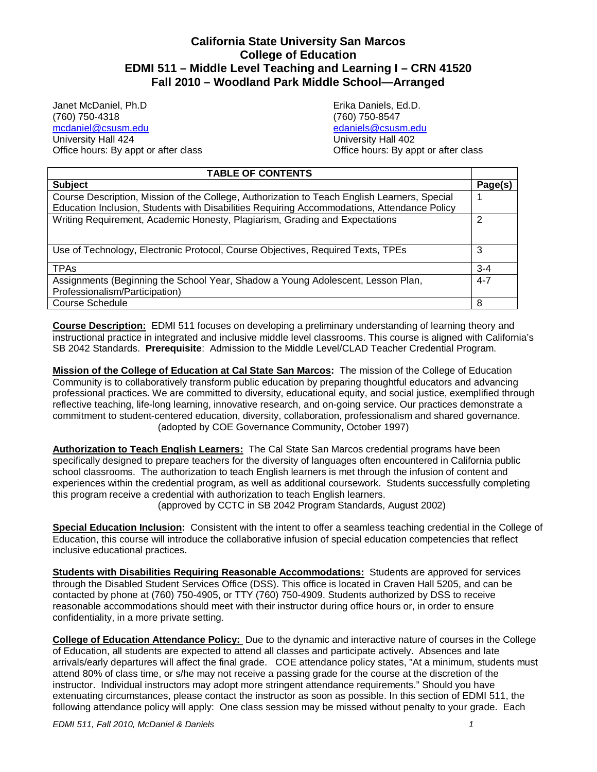# **California State University San Marcos College of Education EDMI 511 – Middle Level Teaching and Learning I – CRN 41520 Fall 2010 – Woodland Park Middle School—Arranged**

Janet McDaniel, Ph.D Erika Daniels, Ed.D. (760) 750-4318 (760) 750-8547 [mcdaniel@csusm.edu](mailto:mcdaniel@csusm.edu) [edaniels@csusm.edu](mailto:edaniels@csusm.edu) Office hours: By appt or after class

University Hall 424<br>
Office hours: By appt or after class<br>
Office hours: By appt or after class<br>
Office hours: By appt or after class

| <b>TABLE OF CONTENTS</b>                                                                                                                                                                    |         |
|---------------------------------------------------------------------------------------------------------------------------------------------------------------------------------------------|---------|
| <b>Subject</b>                                                                                                                                                                              | Page(s) |
| Course Description, Mission of the College, Authorization to Teach English Learners, Special<br>Education Inclusion, Students with Disabilities Requiring Accommodations, Attendance Policy |         |
| Writing Requirement, Academic Honesty, Plagiarism, Grading and Expectations                                                                                                                 | 2       |
| Use of Technology, Electronic Protocol, Course Objectives, Required Texts, TPEs                                                                                                             | 3       |
| <b>TPAs</b>                                                                                                                                                                                 | $3 - 4$ |
| Assignments (Beginning the School Year, Shadow a Young Adolescent, Lesson Plan,<br>Professionalism/Participation)                                                                           | $4 - 7$ |
| <b>Course Schedule</b>                                                                                                                                                                      | 8       |

**Course Description:** EDMI 511 focuses on developing a preliminary understanding of learning theory and instructional practice in integrated and inclusive middle level classrooms. This course is aligned with California's SB 2042 Standards. **Prerequisite**: Admission to the Middle Level/CLAD Teacher Credential Program.

**Mission of the College of Education at Cal State San Marcos:** The mission of the College of Education Community is to collaboratively transform public education by preparing thoughtful educators and advancing professional practices. We are committed to diversity, educational equity, and social justice, exemplified through reflective teaching, life-long learning, innovative research, and on-going service. Our practices demonstrate a commitment to student-centered education, diversity, collaboration, professionalism and shared governance. (adopted by COE Governance Community, October 1997)

**Authorization to Teach English Learners:** The Cal State San Marcos credential programs have been specifically designed to prepare teachers for the diversity of languages often encountered in California public school classrooms. The authorization to teach English learners is met through the infusion of content and experiences within the credential program, as well as additional coursework. Students successfully completing this program receive a credential with authorization to teach English learners.

(approved by CCTC in SB 2042 Program Standards, August 2002)

**Special Education Inclusion:** Consistent with the intent to offer a seamless teaching credential in the College of Education, this course will introduce the collaborative infusion of special education competencies that reflect inclusive educational practices.

**Students with Disabilities Requiring Reasonable Accommodations:** Students are approved for services through the Disabled Student Services Office (DSS). This office is located in Craven Hall 5205, and can be contacted by phone at (760) 750-4905, or TTY (760) 750-4909. Students authorized by DSS to receive reasonable accommodations should meet with their instructor during office hours or, in order to ensure confidentiality, in a more private setting.

**College of Education Attendance Policy:** Due to the dynamic and interactive nature of courses in the College of Education, all students are expected to attend all classes and participate actively. Absences and late arrivals/early departures will affect the final grade. COE attendance policy states, "At a minimum, students must attend 80% of class time, or s/he may not receive a passing grade for the course at the discretion of the instructor. Individual instructors may adopt more stringent attendance requirements." Should you have extenuating circumstances, please contact the instructor as soon as possible. In this section of EDMI 511, the following attendance policy will apply: One class session may be missed without penalty to your grade. Each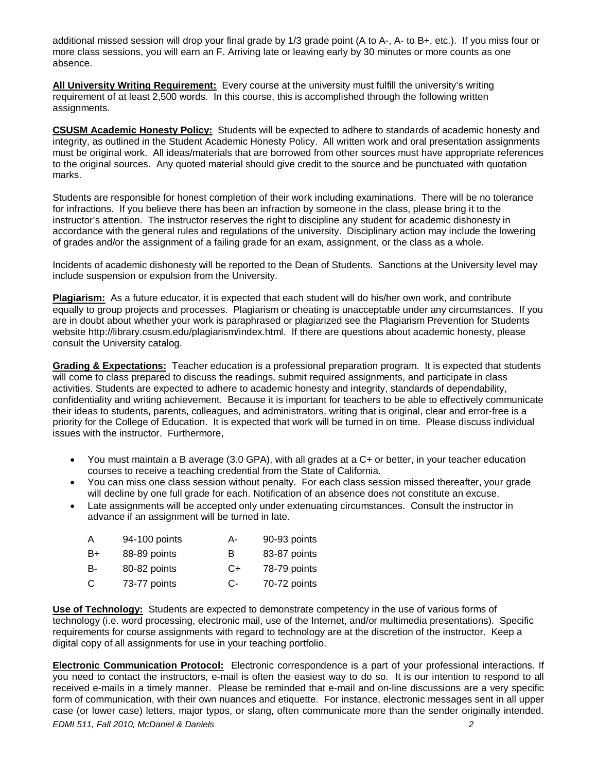additional missed session will drop your final grade by 1/3 grade point (A to A-, A- to B+, etc.). If you miss four or more class sessions, you will earn an F. Arriving late or leaving early by 30 minutes or more counts as one absence.

**All University Writing Requirement:** Every course at the university must fulfill the university's writing requirement of at least 2,500 words. In this course, this is accomplished through the following written assignments.

**CSUSM Academic Honesty Policy:** Students will be expected to adhere to standards of academic honesty and integrity, as outlined in the Student Academic Honesty Policy. All written work and oral presentation assignments must be original work. All ideas/materials that are borrowed from other sources must have appropriate references to the original sources. Any quoted material should give credit to the source and be punctuated with quotation marks.

Students are responsible for honest completion of their work including examinations. There will be no tolerance for infractions. If you believe there has been an infraction by someone in the class, please bring it to the instructor's attention. The instructor reserves the right to discipline any student for academic dishonesty in accordance with the general rules and regulations of the university. Disciplinary action may include the lowering of grades and/or the assignment of a failing grade for an exam, assignment, or the class as a whole.

Incidents of academic dishonesty will be reported to the Dean of Students. Sanctions at the University level may include suspension or expulsion from the University.

**Plagiarism:** As a future educator, it is expected that each student will do his/her own work, and contribute equally to group projects and processes. Plagiarism or cheating is unacceptable under any circumstances. If you are in doubt about whether your work is paraphrased or plagiarized see the Plagiarism Prevention for Students website [http://library.csusm.edu/plagiarism/index.html.](http://library.csusm.edu/plagiarism/index.html) If there are questions about academic honesty, please consult the University catalog.

**Grading & Expectations:** Teacher education is a professional preparation program. It is expected that students will come to class prepared to discuss the readings, submit required assignments, and participate in class activities. Students are expected to adhere to academic honesty and integrity, standards of dependability, confidentiality and writing achievement. Because it is important for teachers to be able to effectively communicate their ideas to students, parents, colleagues, and administrators, writing that is original, clear and error-free is a priority for the College of Education. It is expected that work will be turned in on time. Please discuss individual issues with the instructor. Furthermore,

- You must maintain a B average (3.0 GPA), with all grades at a C+ or better, in your teacher education courses to receive a teaching credential from the State of California.
- You can miss one class session without penalty. For each class session missed thereafter, your grade will decline by one full grade for each. Notification of an absence does not constitute an excuse.
- Late assignments will be accepted only under extenuating circumstances. Consult the instructor in advance if an assignment will be turned in late.

| A  | 94-100 points | А-   | 90-93 points |
|----|---------------|------|--------------|
| B+ | 88-89 points  | в    | 83-87 points |
| B- | 80-82 points  | $C+$ | 78-79 points |
| C  | 73-77 points  | C-   | 70-72 points |

**Use of Technology:** Students are expected to demonstrate competency in the use of various forms of technology (i.e. word processing, electronic mail, use of the Internet, and/or multimedia presentations). Specific requirements for course assignments with regard to technology are at the discretion of the instructor. Keep a digital copy of all assignments for use in your teaching portfolio.

*EDMI 511, Fall 2010, McDaniel & Daniels 2* **Electronic Communication Protocol:** Electronic correspondence is a part of your professional interactions. If you need to contact the instructors, e-mail is often the easiest way to do so. It is our intention to respond to all received e-mails in a timely manner. Please be reminded that e-mail and on-line discussions are a very specific form of communication, with their own nuances and etiquette. For instance, electronic messages sent in all upper case (or lower case) letters, major typos, or slang, often communicate more than the sender originally intended.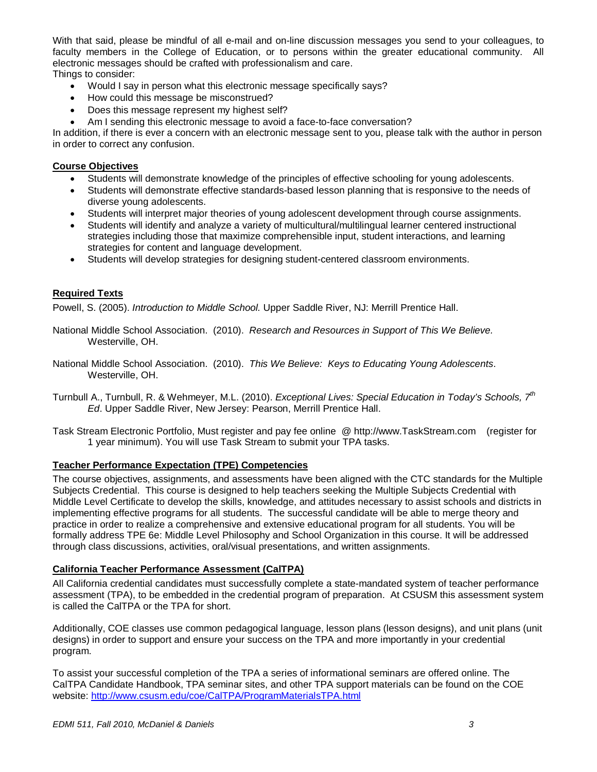With that said, please be mindful of all e-mail and on-line discussion messages you send to your colleagues, to faculty members in the College of Education, or to persons within the greater educational community. All electronic messages should be crafted with professionalism and care.

Things to consider:

- Would I say in person what this electronic message specifically says?
- How could this message be misconstrued?
- Does this message represent my highest self?
- Am I sending this electronic message to avoid a face-to-face conversation?

In addition, if there is ever a concern with an electronic message sent to you, please talk with the author in person in order to correct any confusion.

#### **Course Objectives**

- Students will demonstrate knowledge of the principles of effective schooling for young adolescents.
- Students will demonstrate effective standards-based lesson planning that is responsive to the needs of diverse young adolescents.
- Students will interpret major theories of young adolescent development through course assignments.
- Students will identify and analyze a variety of multicultural/multilingual learner centered instructional strategies including those that maximize comprehensible input, student interactions, and learning strategies for content and language development.
- Students will develop strategies for designing student-centered classroom environments.

## **Required Texts**

Powell, S. (2005). *Introduction to Middle School.* Upper Saddle River, NJ: Merrill Prentice Hall.

- National Middle School Association. (2010). *Research and Resources in Support of This We Believe.* Westerville, OH.
- National Middle School Association. (2010). *This We Believe: Keys to Educating Young Adolescents*. Westerville, OH.
- Turnbull A., Turnbull, R. & Wehmeyer, M.L. (2010). *Exceptional Lives: Special Education in Today's Schools, 7th Ed*. Upper Saddle River, New Jersey: Pearson, Merrill Prentice Hall.
- Task Stream Electronic Portfolio, Must register and pay fee online @ [http://www.TaskStream.com](http://www.taskstream.com/) (register for 1 year minimum). You will use Task Stream to submit your TPA tasks.

## **Teacher Performance Expectation (TPE) Competencies**

The course objectives, assignments, and assessments have been aligned with the CTC standards for the Multiple Subjects Credential. This course is designed to help teachers seeking the Multiple Subjects Credential with Middle Level Certificate to develop the skills, knowledge, and attitudes necessary to assist schools and districts in implementing effective programs for all students. The successful candidate will be able to merge theory and practice in order to realize a comprehensive and extensive educational program for all students. You will be formally address TPE 6e: Middle Level Philosophy and School Organization in this course. It will be addressed through class discussions, activities, oral/visual presentations, and written assignments.

#### **California Teacher Performance Assessment (CalTPA)**

All California credential candidates must successfully complete a state-mandated system of teacher performance assessment (TPA), to be embedded in the credential program of preparation. At CSUSM this assessment system is called the CalTPA or the TPA for short.

Additionally, COE classes use common pedagogical language, lesson plans (lesson designs), and unit plans (unit designs) in order to support and ensure your success on the TPA and more importantly in your credential program.

To assist your successful completion of the TPA a series of informational seminars are offered online. The CalTPA Candidate Handbook, TPA seminar sites, and other TPA support materials can be found on the COE website:<http://www.csusm.edu/coe/CalTPA/ProgramMaterialsTPA.html>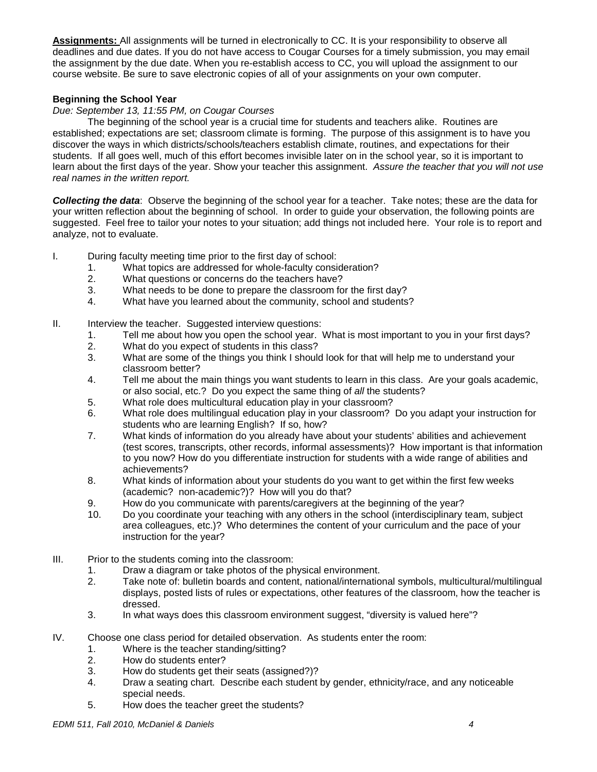**Assignments:** All assignments will be turned in electronically to CC. It is your responsibility to observe all deadlines and due dates. If you do not have access to Cougar Courses for a timely submission, you may email the assignment by the due date. When you re-establish access to CC, you will upload the assignment to our course website. Be sure to save electronic copies of all of your assignments on your own computer.

### **Beginning the School Year**

*Due: September 13, 11:55 PM, on Cougar Courses*

The beginning of the school year is a crucial time for students and teachers alike. Routines are established; expectations are set; classroom climate is forming. The purpose of this assignment is to have you discover the ways in which districts/schools/teachers establish climate, routines, and expectations for their students. If all goes well, much of this effort becomes invisible later on in the school year, so it is important to learn about the first days of the year. Show your teacher this assignment. *Assure the teacher that you will not use real names in the written report.*

*Collecting the data*: Observe the beginning of the school year for a teacher. Take notes; these are the data for your written reflection about the beginning of school. In order to guide your observation, the following points are suggested. Feel free to tailor your notes to your situation; add things not included here. Your role is to report and analyze, not to evaluate.

- I. During faculty meeting time prior to the first day of school:
	- 1. What topics are addressed for whole-faculty consideration?<br>2. What questions or concerns do the teachers have?
	- What questions or concerns do the teachers have?
	- 3. What needs to be done to prepare the classroom for the first day?
	- 4. What have you learned about the community, school and students?
- II. Interview the teacher. Suggested interview questions:
	- 1. Tell me about how you open the school year. What is most important to you in your first days?<br>2. What do you expect of students in this class?
	- What do you expect of students in this class?
	- 3. What are some of the things you think I should look for that will help me to understand your classroom better?
	- 4. Tell me about the main things you want students to learn in this class. Are your goals academic, or also social, etc.? Do you expect the same thing of *all* the students?
	- 5. What role does multicultural education play in your classroom?
	- 6. What role does multilingual education play in your classroom? Do you adapt your instruction for students who are learning English? If so, how?
	- 7. What kinds of information do you already have about your students' abilities and achievement (test scores, transcripts, other records, informal assessments)? How important is that information to you now? How do you differentiate instruction for students with a wide range of abilities and achievements?
	- 8. What kinds of information about your students do you want to get within the first few weeks (academic? non-academic?)? How will you do that?
	- 9. How do you communicate with parents/caregivers at the beginning of the year?<br>10. Do you coordinate your teaching with any others in the school (interdisciplinary t
	- 10. Do you coordinate your teaching with any others in the school (interdisciplinary team, subject area colleagues, etc.)? Who determines the content of your curriculum and the pace of your instruction for the year?
- III. Prior to the students coming into the classroom:
	- 1. Draw a diagram or take photos of the physical environment.<br>2. Take note of: bulletin boards and content, national/internatio
	- 2. Take note of: bulletin boards and content, national/international symbols, multicultural/multilingual displays, posted lists of rules or expectations, other features of the classroom, how the teacher is dressed.
	- 3. In what ways does this classroom environment suggest, "diversity is valued here"?
- IV. Choose one class period for detailed observation. As students enter the room:
	- 1. Where is the teacher standing/sitting?<br>2. How do students enter?
	- How do students enter?
	- 3. How do students get their seats (assigned?)?<br>4. Draw a seating chart. Describe each student
	- Draw a seating chart. Describe each student by gender, ethnicity/race, and any noticeable special needs.
	- 5. How does the teacher greet the students?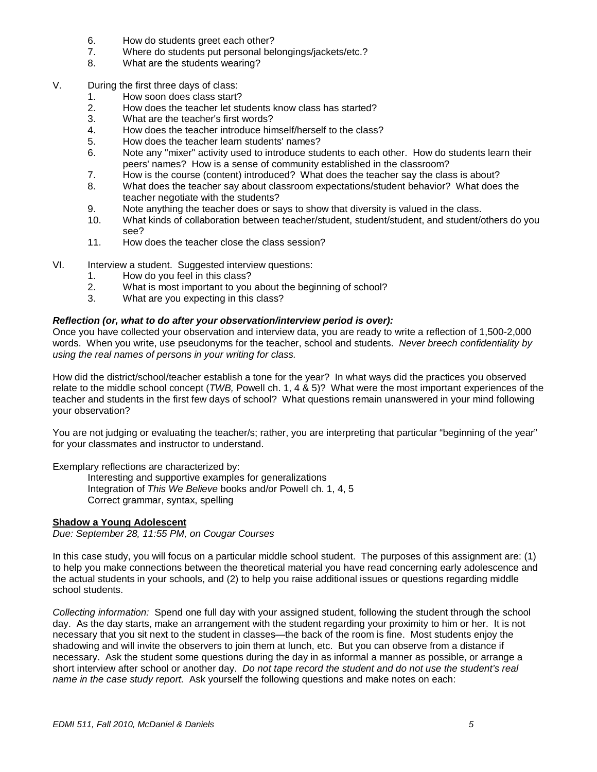- 6. How do students greet each other?
- 7. Where do students put personal belongings/jackets/etc.?
- 8. What are the students wearing?
- V. During the first three days of class:
	- 1. How soon does class start?<br>2. How does the teacher let stu
	- 2. How does the teacher let students know class has started?<br>3. What are the teacher's first words?
	- 3. What are the teacher's first words?<br>4. How does the teacher introduce hin
	- How does the teacher introduce himself/herself to the class?
	- 5. How does the teacher learn students' names?
	- 6. Note any "mixer" activity used to introduce students to each other. How do students learn their peers' names? How is a sense of community established in the classroom?
	- 7. How is the course (content) introduced? What does the teacher say the class is about?
	- 8. What does the teacher say about classroom expectations/student behavior? What does the teacher negotiate with the students?
	- 9. Note anything the teacher does or says to show that diversity is valued in the class.
	- 10. What kinds of collaboration between teacher/student, student/student, and student/others do you see?
	- 11. How does the teacher close the class session?
- VI. Interview a student. Suggested interview questions:
	- 1. How do you feel in this class?
	- 2. What is most important to you about the beginning of school?
	- 3. What are you expecting in this class?

#### *Reflection (or, what to do after your observation/interview period is over):*

Once you have collected your observation and interview data, you are ready to write a reflection of 1,500-2,000 words. When you write, use pseudonyms for the teacher, school and students. *Never breech confidentiality by using the real names of persons in your writing for class.*

How did the district/school/teacher establish a tone for the year? In what ways did the practices you observed relate to the middle school concept (*TWB,* Powell ch. 1, 4 & 5)? What were the most important experiences of the teacher and students in the first few days of school? What questions remain unanswered in your mind following your observation?

You are not judging or evaluating the teacher/s; rather, you are interpreting that particular "beginning of the year" for your classmates and instructor to understand.

Exemplary reflections are characterized by:

Interesting and supportive examples for generalizations Integration of *This We Believe* books and/or Powell ch. 1, 4, 5 Correct grammar, syntax, spelling

## **Shadow a Young Adolescent**

*Due: September 28, 11:55 PM, on Cougar Courses*

In this case study, you will focus on a particular middle school student. The purposes of this assignment are: (1) to help you make connections between the theoretical material you have read concerning early adolescence and the actual students in your schools, and (2) to help you raise additional issues or questions regarding middle school students.

*Collecting information:* Spend one full day with your assigned student, following the student through the school day. As the day starts, make an arrangement with the student regarding your proximity to him or her. It is not necessary that you sit next to the student in classes—the back of the room is fine. Most students enjoy the shadowing and will invite the observers to join them at lunch, etc. But you can observe from a distance if necessary. Ask the student some questions during the day in as informal a manner as possible, or arrange a short interview after school or another day. *Do not tape record the student and do not use the student's real name in the case study report.* Ask yourself the following questions and make notes on each: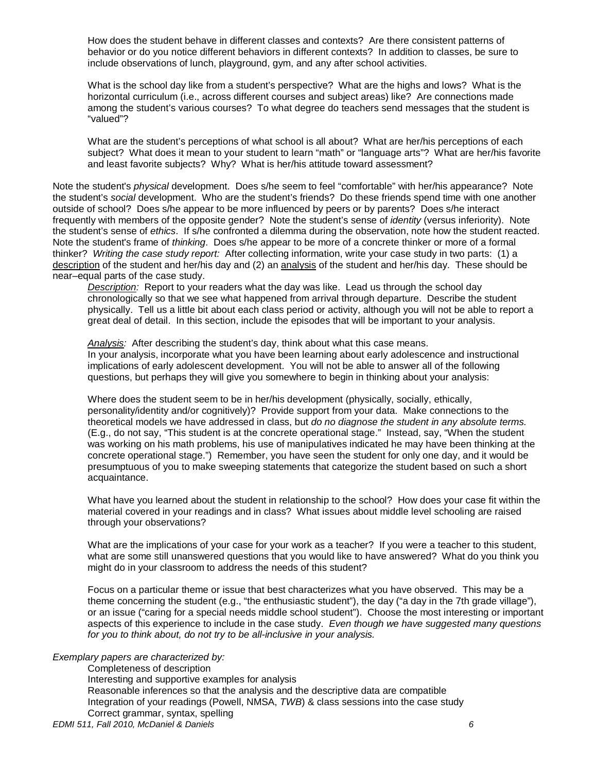How does the student behave in different classes and contexts? Are there consistent patterns of behavior or do you notice different behaviors in different contexts? In addition to classes, be sure to include observations of lunch, playground, gym, and any after school activities.

What is the school day like from a student's perspective? What are the highs and lows? What is the horizontal curriculum (i.e., across different courses and subject areas) like? Are connections made among the student's various courses? To what degree do teachers send messages that the student is "valued"?

What are the student's perceptions of what school is all about? What are her/his perceptions of each subject? What does it mean to your student to learn "math" or "language arts"? What are her/his favorite and least favorite subjects? Why? What is her/his attitude toward assessment?

Note the student's *physical* development. Does s/he seem to feel "comfortable" with her/his appearance? Note the student's *social* development. Who are the student's friends? Do these friends spend time with one another outside of school? Does s/he appear to be more influenced by peers or by parents? Does s/he interact frequently with members of the opposite gender? Note the student's sense of *identity* (versus inferiority). Note the student's sense of *ethics*. If s/he confronted a dilemma during the observation, note how the student reacted. Note the student's frame of *thinking*. Does s/he appear to be more of a concrete thinker or more of a formal thinker? *Writing the case study report:* After collecting information, write your case study in two parts: (1) a description of the student and her/his day and (2) an analysis of the student and her/his day. These should be near–equal parts of the case study.

*Description:* Report to your readers what the day was like. Lead us through the school day chronologically so that we see what happened from arrival through departure. Describe the student physically. Tell us a little bit about each class period or activity, although you will not be able to report a great deal of detail. In this section, include the episodes that will be important to your analysis.

*Analysis:* After describing the student's day, think about what this case means. In your analysis, incorporate what you have been learning about early adolescence and instructional implications of early adolescent development. You will not be able to answer all of the following questions, but perhaps they will give you somewhere to begin in thinking about your analysis:

Where does the student seem to be in her/his development (physically, socially, ethically, personality/identity and/or cognitively)? Provide support from your data. Make connections to the theoretical models we have addressed in class, but *do no diagnose the student in any absolute terms.*  (E.g., do not say, "This student is at the concrete operational stage." Instead, say, "When the student was working on his math problems, his use of manipulatives indicated he may have been thinking at the concrete operational stage.") Remember, you have seen the student for only one day, and it would be presumptuous of you to make sweeping statements that categorize the student based on such a short acquaintance.

What have you learned about the student in relationship to the school? How does your case fit within the material covered in your readings and in class? What issues about middle level schooling are raised through your observations?

What are the implications of your case for your work as a teacher? If you were a teacher to this student, what are some still unanswered questions that you would like to have answered? What do you think you might do in your classroom to address the needs of this student?

Focus on a particular theme or issue that best characterizes what you have observed. This may be a theme concerning the student (e.g., "the enthusiastic student"), the day ("a day in the 7th grade village"), or an issue ("caring for a special needs middle school student"). Choose the most interesting or important aspects of this experience to include in the case study. *Even though we have suggested many questions for you to think about, do not try to be all-inclusive in your analysis.*

*Exemplary papers are characterized by:*

Completeness of description

Interesting and supportive examples for analysis

Reasonable inferences so that the analysis and the descriptive data are compatible Integration of your readings (Powell, NMSA, *TWB*) & class sessions into the case study Correct grammar, syntax, spelling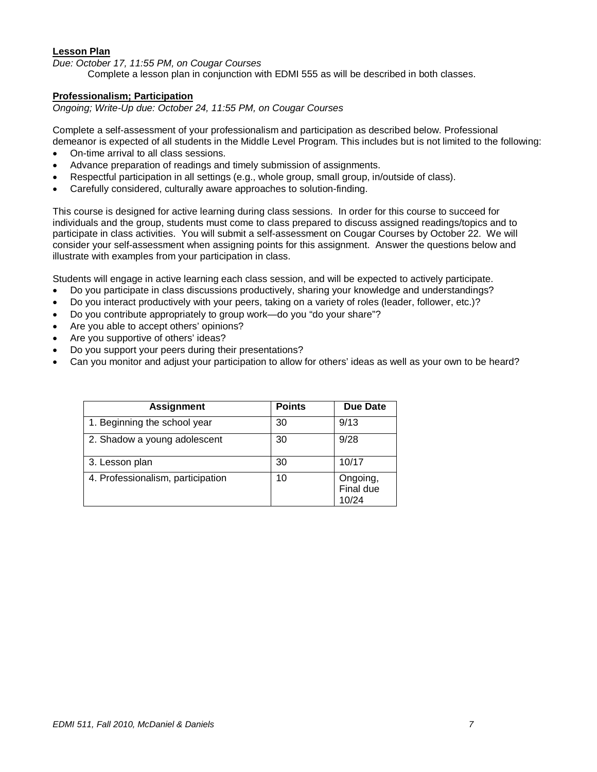#### **Lesson Plan**

*Due: October 17, 11:55 PM, on Cougar Courses*

Complete a lesson plan in conjunction with EDMI 555 as will be described in both classes.

#### **Professionalism; Participation**

*Ongoing; Write-Up due: October 24, 11:55 PM, on Cougar Courses*

Complete a self-assessment of your professionalism and participation as described below. Professional demeanor is expected of all students in the Middle Level Program. This includes but is not limited to the following:

- On-time arrival to all class sessions.
- Advance preparation of readings and timely submission of assignments.
- Respectful participation in all settings (e.g., whole group, small group, in/outside of class).
- Carefully considered, culturally aware approaches to solution-finding.

This course is designed for active learning during class sessions. In order for this course to succeed for individuals and the group, students must come to class prepared to discuss assigned readings/topics and to participate in class activities. You will submit a self-assessment on Cougar Courses by October 22. We will consider your self-assessment when assigning points for this assignment. Answer the questions below and illustrate with examples from your participation in class.

Students will engage in active learning each class session, and will be expected to actively participate.

- Do you participate in class discussions productively, sharing your knowledge and understandings?
- Do you interact productively with your peers, taking on a variety of roles (leader, follower, etc.)?
- Do you contribute appropriately to group work—do you "do your share"?
- Are you able to accept others' opinions?
- Are you supportive of others' ideas?
- Do you support your peers during their presentations?
- Can you monitor and adjust your participation to allow for others' ideas as well as your own to be heard?

| <b>Assignment</b>                 | <b>Points</b> | Due Date                       |
|-----------------------------------|---------------|--------------------------------|
| 1. Beginning the school year      | 30            | 9/13                           |
| 2. Shadow a young adolescent      | 30            | 9/28                           |
| 3. Lesson plan                    | 30            | 10/17                          |
| 4. Professionalism, participation | 10            | Ongoing,<br>Final due<br>10/24 |